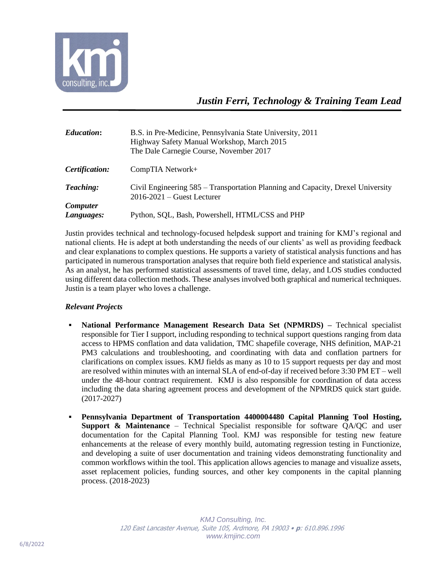

| <i><b>Education:</b></i> | B.S. in Pre-Medicine, Pennsylvania State University, 2011<br>Highway Safety Manual Workshop, March 2015<br>The Dale Carnegie Course, November 2017 |
|--------------------------|----------------------------------------------------------------------------------------------------------------------------------------------------|
| Certification:           | CompTIA Network+                                                                                                                                   |
| Teaching:                | Civil Engineering 585 – Transportation Planning and Capacity, Drexel University<br>$2016 - 2021$ – Guest Lecturer                                  |
| <b>Computer</b>          |                                                                                                                                                    |
| Languages:               | Python, SQL, Bash, Powershell, HTML/CSS and PHP                                                                                                    |

Justin provides technical and technology-focused helpdesk support and training for KMJ's regional and national clients. He is adept at both understanding the needs of our clients' as well as providing feedback and clear explanations to complex questions. He supports a variety of statistical analysis functions and has participated in numerous transportation analyses that require both field experience and statistical analysis. As an analyst, he has performed statistical assessments of travel time, delay, and LOS studies conducted using different data collection methods. These analyses involved both graphical and numerical techniques. Justin is a team player who loves a challenge.

## *Relevant Projects*

- **National Performance Management Research Data Set (NPMRDS) –** Technical specialist responsible for Tier I support, including responding to technical support questions ranging from data access to HPMS conflation and data validation, TMC shapefile coverage, NHS definition, MAP-21 PM3 calculations and troubleshooting, and coordinating with data and conflation partners for clarifications on complex issues. KMJ fields as many as 10 to 15 support requests per day and most are resolved within minutes with an internal SLA of end-of-day if received before 3:30 PM ET – well under the 48-hour contract requirement. KMJ is also responsible for coordination of data access including the data sharing agreement process and development of the NPMRDS quick start guide. (2017-2027)
- **Pennsylvania Department of Transportation 4400004480 Capital Planning Tool Hosting, Support & Maintenance** – Technical Specialist responsible for software QA/QC and user documentation for the Capital Planning Tool. KMJ was responsible for testing new feature enhancements at the release of every monthly build, automating regression testing in Functionize, and developing a suite of user documentation and training videos demonstrating functionality and common workflows within the tool. This application allows agencies to manage and visualize assets, asset replacement policies, funding sources, and other key components in the capital planning process. (2018-2023)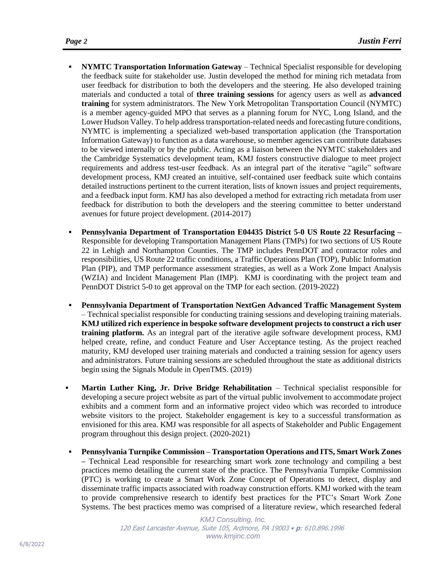- **NYMTC Transportation Information Gateway** Technical Specialist responsible for developing the feedback suite for stakeholder use. Justin developed the method for mining rich metadata from user feedback for distribution to both the developers and the steering. He also developed training materials and conducted a total of **three training sessions** for agency users as well as **advanced training** for system administrators. The New York Metropolitan Transportation Council (NYMTC) is a member agency-guided MPO that serves as a planning forum for NYC, Long Island, and the Lower Hudson Valley. To help address transportation-related needs and forecasting future conditions, NYMTC is implementing a specialized web-based transportation application (the Transportation Information Gateway) to function as a data warehouse, so member agencies can contribute databases to be viewed internally or by the public. Acting as a liaison between the NYMTC stakeholders and the Cambridge Systematics development team, KMJ fosters constructive dialogue to meet project requirements and address test-user feedback. As an integral part of the iterative "agile" software development process, KMJ created an intuitive, self-contained user feedback suite which contains detailed instructions pertinent to the current iteration, lists of known issues and project requirements, and a feedback input form. KMJ has also developed a method for extracting rich metadata from user feedback for distribution to both the developers and the steering committee to better understand avenues for future project development. (2014-2017)
- **Pennsylvania Department of Transportation E04435 District 5-0 US Route 22 Resurfacing –** Responsible for developing Transportation Management Plans (TMPs) for two sections of US Route 22 in Lehigh and Northampton Counties. The TMP includes PennDOT and contractor roles and responsibilities, US Route 22 traffic conditions, a Traffic Operations Plan (TOP), Public Information Plan (PIP), and TMP performance assessment strategies, as well as a Work Zone Impact Analysis (WZIA) and Incident Management Plan (IMP). KMJ is coordinating with the project team and PennDOT District 5-0 to get approval on the TMP for each section. (2019-2022)
- **Pennsylvania Department of Transportation NextGen Advanced Traffic Management System** – Technical specialist responsible for conducting training sessions and developing training materials. **KMJ utilized rich experience in bespoke software development projects to construct a rich user training platform.** As an integral part of the iterative agile software development process, KMJ helped create, refine, and conduct Feature and User Acceptance testing. As the project reached maturity, KMJ developed user training materials and conducted a training session for agency users and administrators. Future training sessions are scheduled throughout the state as additional districts begin using the Signals Module in OpenTMS. (2019)
- **Martin Luther King, Jr. Drive Bridge Rehabilitation** Technical specialist responsible for developing a secure project website as part of the virtual public involvement to accommodate project exhibits and a comment form and an informative project video which was recorded to introduce website visitors to the project. Stakeholder engagement is key to a successful transformation as envisioned for this area. KMJ was responsible for all aspects of Stakeholder and Public Engagement program throughout this design project. (2020-2021)
- **Pennsylvania Turnpike Commission – Transportation Operations and ITS, Smart Work Zones –** Technical Lead responsible for researching smart work zone technology and compiling a best practices memo detailing the current state of the practice. The Pennsylvania Turnpike Commission (PTC) is working to create a Smart Work Zone Concept of Operations to detect, display and disseminate traffic impacts associated with roadway construction efforts. KMJ worked with the team to provide comprehensive research to identify best practices for the PTC's Smart Work Zone Systems. The best practices memo was comprised of a literature review, which researched federal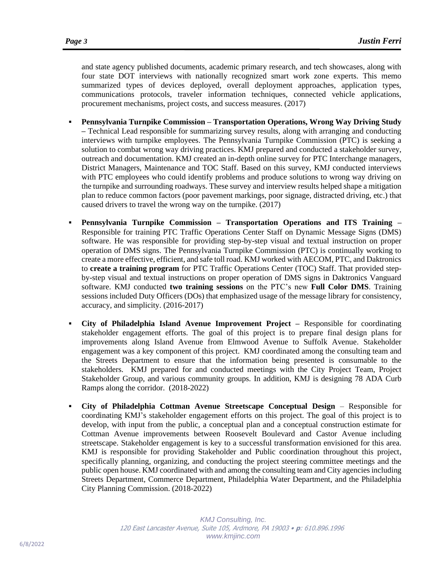and state agency published documents, academic primary research, and tech showcases, along with four state DOT interviews with nationally recognized smart work zone experts. This memo summarized types of devices deployed, overall deployment approaches, application types, communications protocols, traveler information techniques, connected vehicle applications, procurement mechanisms, project costs, and success measures. (2017)

- **Pennsylvania Turnpike Commission – Transportation Operations, Wrong Way Driving Study –** Technical Lead responsible for summarizing survey results, along with arranging and conducting interviews with turnpike employees. The Pennsylvania Turnpike Commission (PTC) is seeking a solution to combat wrong way driving practices. KMJ prepared and conducted a stakeholder survey, outreach and documentation. KMJ created an in-depth online survey for PTC Interchange managers, District Managers, Maintenance and TOC Staff. Based on this survey, KMJ conducted interviews with PTC employees who could identify problems and produce solutions to wrong way driving on the turnpike and surrounding roadways. These survey and interview results helped shape a mitigation plan to reduce common factors (poor pavement markings, poor signage, distracted driving, etc.) that caused drivers to travel the wrong way on the turnpike. (2017)
- **Pennsylvania Turnpike Commission – Transportation Operations and ITS Training –** Responsible for training PTC Traffic Operations Center Staff on Dynamic Message Signs (DMS) software. He was responsible for providing step-by-step visual and textual instruction on proper operation of DMS signs. The Pennsylvania Turnpike Commission (PTC) is continually working to create a more effective, efficient, and safe toll road. KMJ worked with AECOM, PTC, and Daktronics to **create a training program** for PTC Traffic Operations Center (TOC) Staff. That provided stepby-step visual and textual instructions on proper operation of DMS signs in Daktronics Vanguard software. KMJ conducted **two training sessions** on the PTC's new **Full Color DMS**. Training sessions included Duty Officers (DOs) that emphasized usage of the message library for consistency, accuracy, and simplicity. (2016-2017)
- **City of Philadelphia Island Avenue Improvement Project –** Responsible for coordinating stakeholder engagement efforts. The goal of this project is to prepare final design plans for improvements along Island Avenue from Elmwood Avenue to Suffolk Avenue. Stakeholder engagement was a key component of this project. KMJ coordinated among the consulting team and the Streets Department to ensure that the information being presented is consumable to the stakeholders. KMJ prepared for and conducted meetings with the City Project Team, Project Stakeholder Group, and various community groups. In addition, KMJ is designing 78 ADA Curb Ramps along the corridor. (2018-2022)
- **City of Philadelphia Cottman Avenue Streetscape Conceptual Design**  Responsible for coordinating KMJ's stakeholder engagement efforts on this project. The goal of this project is to develop, with input from the public, a conceptual plan and a conceptual construction estimate for Cottman Avenue improvements between Roosevelt Boulevard and Castor Avenue including streetscape. Stakeholder engagement is key to a successful transformation envisioned for this area. KMJ is responsible for providing Stakeholder and Public coordination throughout this project, specifically planning, organizing, and conducting the project steering committee meetings and the public open house. KMJ coordinated with and among the consulting team and City agencies including Streets Department, Commerce Department, Philadelphia Water Department, and the Philadelphia City Planning Commission. (2018-2022)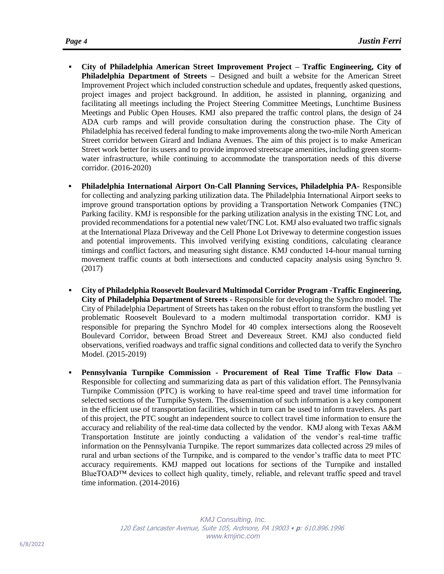- **City of Philadelphia American Street Improvement Project – Traffic Engineering, City of Philadelphia Department of Streets –** Designed and built a website for the American Street Improvement Project which included construction schedule and updates, frequently asked questions, project images and project background. In addition, he assisted in planning, organizing and facilitating all meetings including the Project Steering Committee Meetings, Lunchtime Business Meetings and Public Open Houses. KMJ also prepared the traffic control plans, the design of 24 ADA curb ramps and will provide consultation during the construction phase. The City of Philadelphia has received federal funding to make improvements along the two-mile North American Street corridor between Girard and Indiana Avenues. The aim of this project is to make American Street work better for its users and to provide improved streetscape amenities, including green stormwater infrastructure, while continuing to accommodate the transportation needs of this diverse corridor. (2016-2020)
- **Philadelphia International Airport On-Call Planning Services, Philadelphia PA-** Responsible for collecting and analyzing parking utilization data. The Philadelphia International Airport seeks to improve ground transportation options by providing a Transportation Network Companies (TNC) Parking facility. KMJ is responsible for the parking utilization analysis in the existing TNC Lot, and provided recommendations for a potential new valet/TNC Lot. KMJ also evaluated two traffic signals at the International Plaza Driveway and the Cell Phone Lot Driveway to determine congestion issues and potential improvements. This involved verifying existing conditions, calculating clearance timings and conflict factors, and measuring sight distance. KMJ conducted 14-hour manual turning movement traffic counts at both intersections and conducted capacity analysis using Synchro 9. (2017)
- **City of Philadelphia Roosevelt Boulevard Multimodal Corridor Program -Traffic Engineering, City of Philadelphia Department of Streets** - Responsible for developing the Synchro model. The City of Philadelphia Department of Streets has taken on the robust effort to transform the bustling yet problematic Roosevelt Boulevard to a modern multimodal transportation corridor. KMJ is responsible for preparing the Synchro Model for 40 complex intersections along the Roosevelt Boulevard Corridor, between Broad Street and Devereaux Street. KMJ also conducted field observations, verified roadways and traffic signal conditions and collected data to verify the Synchro Model. (2015-2019)
- **Pennsylvania Turnpike Commission - Procurement of Real Time Traffic Flow Data** Responsible for collecting and summarizing data as part of this validation effort. The Pennsylvania Turnpike Commission (PTC) is working to have real-time speed and travel time information for selected sections of the Turnpike System. The dissemination of such information is a key component in the efficient use of transportation facilities, which in turn can be used to inform travelers. As part of this project, the PTC sought an independent source to collect travel time information to ensure the accuracy and reliability of the real-time data collected by the vendor. KMJ along with Texas A&M Transportation Institute are jointly conducting a validation of the vendor's real-time traffic information on the Pennsylvania Turnpike. The report summarizes data collected across 29 miles of rural and urban sections of the Turnpike, and is compared to the vendor's traffic data to meet PTC accuracy requirements. KMJ mapped out locations for sections of the Turnpike and installed BlueTOAD™ devices to collect high quality, timely, reliable, and relevant traffic speed and travel time information. (2014-2016)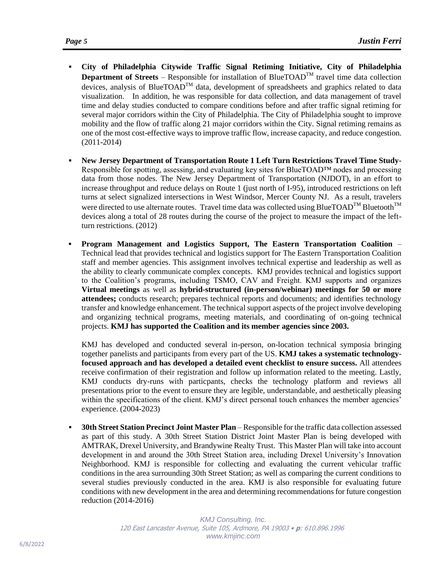- **City of Philadelphia Citywide Traffic Signal Retiming Initiative, City of Philadelphia Department of Streets** – Responsible for installation of BlueTOAD<sup>TM</sup> travel time data collection devices, analysis of BlueTOAD<sup>™</sup> data, development of spreadsheets and graphics related to data visualization. In addition, he was responsible for data collection, and data management of travel time and delay studies conducted to compare conditions before and after traffic signal retiming for several major corridors within the City of Philadelphia. The City of Philadelphia sought to improve mobility and the flow of traffic along 21 major corridors within the City. Signal retiming remains as one of the most cost-effective ways to improve traffic flow, increase capacity, and reduce congestion. (2011-2014)
- **New Jersey Department of Transportation Route 1 Left Turn Restrictions Travel Time Study-**Responsible for spotting, assessing, and evaluating key sites for BlueTOAD™ nodes and processing data from those nodes. The New Jersey Department of Transportation (NJDOT), in an effort to increase throughput and reduce delays on Route 1 (just north of I-95), introduced restrictions on left turns at select signalized intersections in West Windsor, Mercer County NJ. As a result, travelers were directed to use alternate routes. Travel time data was collected using BlueTOAD<sup>TM</sup> Bluetooth<sup>TM</sup> devices along a total of 28 routes during the course of the project to measure the impact of the leftturn restrictions. (2012)
- **Program Management and Logistics Support, The Eastern Transportation Coalition**  Technical lead that provides technical and logistics support for The Eastern Transportation Coalition staff and member agencies. This assignment involves technical expertise and leadership as well as the ability to clearly communicate complex concepts. KMJ provides technical and logistics support to the Coalition's programs, including TSMO, CAV and Freight. KMJ supports and organizes **Virtual meetings** as well as **hybrid-structured (in-person/webinar) meetings for 50 or more attendees;** conducts research; prepares technical reports and documents; and identifies technology transfer and knowledge enhancement. The technical support aspects of the project involve developing and organizing technical programs, meeting materials, and coordinating of on-going technical projects. **KMJ has supported the Coalition and its member agencies since 2003.**

KMJ has developed and conducted several in-person, on-location technical symposia bringing together panelists and participants from every part of the US. **KMJ takes a systematic technologyfocused approach and has developed a detailed event checklist to ensure success.** All attendees receive confirmation of their registration and follow up information related to the meeting. Lastly, KMJ conducts dry-runs with particpants, checks the technology platform and reviews all presentations prior to the event to ensure they are legible, understandable, and aesthetically pleasing within the specifications of the client. KMJ's direct personal touch enhances the member agencies' experience. (2004-2023)

**30th Street Station Precinct Joint Master Plan** – Responsible for the traffic data collection assessed as part of this study. A 30th Street Station District Joint Master Plan is being developed with AMTRAK, Drexel University, and Brandywine Realty Trust. This Master Plan will take into account development in and around the 30th Street Station area, including Drexel University's Innovation Neighborhood. KMJ is responsible for collecting and evaluating the current vehicular traffic conditions in the area surrounding 30th Street Station; as well as comparing the current conditions to several studies previously conducted in the area. KMJ is also responsible for evaluating future conditions with new development in the area and determining recommendations for future congestion reduction (2014-2016)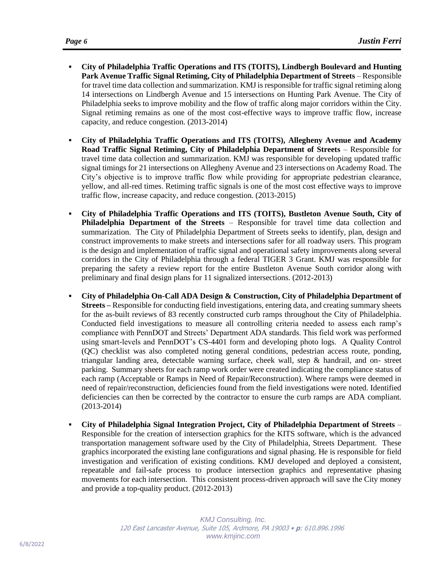- **City of Philadelphia Traffic Operations and ITS (TOITS), Lindbergh Boulevard and Hunting Park Avenue Traffic Signal Retiming, City of Philadelphia Department of Streets** – Responsible for travel time data collection and summarization. KMJ is responsible for traffic signal retiming along 14 intersections on Lindbergh Avenue and 15 intersections on Hunting Park Avenue. The City of Philadelphia seeks to improve mobility and the flow of traffic along major corridors within the City. Signal retiming remains as one of the most cost-effective ways to improve traffic flow, increase capacity, and reduce congestion. (2013-2014)
- **City of Philadelphia Traffic Operations and ITS (TOITS), Allegheny Avenue and Academy Road Traffic Signal Retiming, City of Philadelphia Department of Streets** – Responsible for travel time data collection and summarization. KMJ was responsible for developing updated traffic signal timings for 21 intersections on Allegheny Avenue and 23 intersections on Academy Road. The City's objective is to improve traffic flow while providing for appropriate pedestrian clearance, yellow, and all-red times. Retiming traffic signals is one of the most cost effective ways to improve traffic flow, increase capacity, and reduce congestion. (2013-2015)
- **City of Philadelphia Traffic Operations and ITS (TOITS), Bustleton Avenue South, City of Philadelphia Department of the Streets** – Responsible for travel time data collection and summarization. The City of Philadelphia Department of Streets seeks to identify, plan, design and construct improvements to make streets and intersections safer for all roadway users. This program is the design and implementation of traffic signal and operational safety improvements along several corridors in the City of Philadelphia through a federal TIGER 3 Grant. KMJ was responsible for preparing the safety a review report for the entire Bustleton Avenue South corridor along with preliminary and final design plans for 11 signalized intersections. (2012-2013)
- **City of Philadelphia On-Call ADA Design & Construction, City of Philadelphia Department of Streets –** Responsible for conducting field investigations, entering data, and creating summary sheets for the as-built reviews of 83 recently constructed curb ramps throughout the City of Philadelphia. Conducted field investigations to measure all controlling criteria needed to assess each ramp's compliance with PennDOT and Streets' Department ADA standards. This field work was performed using smart-levels and PennDOT's CS-4401 form and developing photo logs. A Quality Control (QC) checklist was also completed noting general conditions, pedestrian access route, ponding, triangular landing area, detectable warning surface, cheek wall, step & handrail, and on- street parking. Summary sheets for each ramp work order were created indicating the compliance status of each ramp (Acceptable or Ramps in Need of Repair/Reconstruction). Where ramps were deemed in need of repair/reconstruction, deficiencies found from the field investigations were noted. Identified deficiencies can then be corrected by the contractor to ensure the curb ramps are ADA compliant. (2013-2014)
- **City of Philadelphia Signal Integration Project, City of Philadelphia Department of Streets** Responsible for the creation of intersection graphics for the KITS software, which is the advanced transportation management software used by the City of Philadelphia, Streets Department. These graphics incorporated the existing lane configurations and signal phasing. He is responsible for field investigation and verification of existing conditions. KMJ developed and deployed a consistent, repeatable and fail-safe process to produce intersection graphics and representative phasing movements for each intersection. This consistent process-driven approach will save the City money and provide a top-quality product. (2012-2013)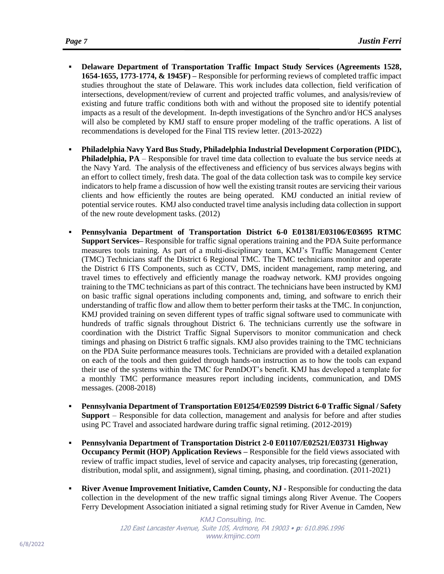- **Delaware Department of Transportation Traffic Impact Study Services (Agreements 1528, 1654-1655, 1773-1774, & 1945F) –** Responsible for performing reviews of completed traffic impact studies throughout the state of Delaware. This work includes data collection, field verification of intersections, development/review of current and projected traffic volumes, and analysis/review of existing and future traffic conditions both with and without the proposed site to identify potential impacts as a result of the development. In-depth investigations of the Synchro and/or HCS analyses will also be completed by KMJ staff to ensure proper modeling of the traffic operations. A list of recommendations is developed for the Final TIS review letter. (2013-2022)
- **Philadelphia Navy Yard Bus Study, Philadelphia Industrial Development Corporation (PIDC), Philadelphia, PA** – Responsible for travel time data collection to evaluate the bus service needs at the Navy Yard. The analysis of the effectiveness and efficiency of bus services always begins with an effort to collect timely, fresh data. The goal of the data collection task was to compile key service indicators to help frame a discussion of how well the existing transit routes are servicing their various clients and how efficiently the routes are being operated. KMJ conducted an initial review of potential service routes. KMJ also conducted travel time analysis including data collection in support of the new route development tasks. (2012)
- **Pennsylvania Department of Transportation District 6-0 E01381/E03106/E03695 RTMC Support Services–** Responsible for traffic signal operations training and the PDA Suite performance measures tools training. As part of a multi-disciplinary team, KMJ's Traffic Management Center (TMC) Technicians staff the District 6 Regional TMC. The TMC technicians monitor and operate the District 6 ITS Components, such as CCTV, DMS, incident management, ramp metering, and travel times to effectively and efficiently manage the roadway network. KMJ provides ongoing training to the TMC technicians as part of this contract. The technicians have been instructed by KMJ on basic traffic signal operations including components and, timing, and software to enrich their understanding of traffic flow and allow them to better perform their tasks at the TMC. In conjunction, KMJ provided training on seven different types of traffic signal software used to communicate with hundreds of traffic signals throughout District 6. The technicians currently use the software in coordination with the District Traffic Signal Supervisors to monitor communication and check timings and phasing on District 6 traffic signals. KMJ also provides training to the TMC technicians on the PDA Suite performance measures tools. Technicians are provided with a detailed explanation on each of the tools and then guided through hands-on instruction as to how the tools can expand their use of the systems within the TMC for PennDOT's benefit. KMJ has developed a template for a monthly TMC performance measures report including incidents, communication, and DMS messages. (2008-2018)
- **Pennsylvania Department of Transportation E01254/E02599 District 6-0 Traffic Signal / Safety Support** – Responsible for data collection, management and analysis for before and after studies using PC Travel and associated hardware during traffic signal retiming. (2012-2019)
- **Pennsylvania Department of Transportation District 2-0 E01107/E02521/E03731 Highway Occupancy Permit (HOP) Application Reviews –** Responsible for the field views associated with review of traffic impact studies, level of service and capacity analyses, trip forecasting (generation, distribution, modal split, and assignment), signal timing, phasing, and coordination. (2011-2021)
- **EXIVER 4.1 IMPROVEMENTER INITIATIVE, Camden County, NJ Responsible for conducting the data** collection in the development of the new traffic signal timings along River Avenue. The Coopers Ferry Development Association initiated a signal retiming study for River Avenue in Camden, New